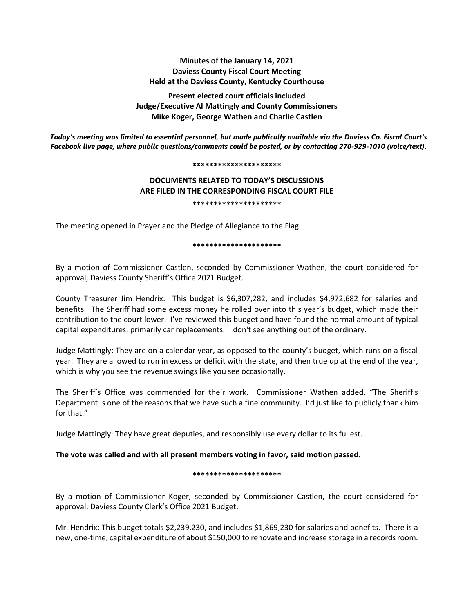# **Minutes of the January 14, 2021 Daviess County Fiscal Court Meeting Held at the Daviess County, Kentucky Courthouse**

**Present elected court officials included Judge/Executive Al Mattingly and County Commissioners Mike Koger, George Wathen and Charlie Castlen**

*Today's meeting was limited to essential personnel, but made publically available via the Daviess Co. Fiscal Court's Facebook live page, where public questions/comments could be posted, or by contacting 270-929-1010 (voice/text).*

#### **\*\*\*\*\*\*\*\*\*\*\*\*\*\*\*\*\*\*\*\*\***

# **DOCUMENTS RELATED TO TODAY'S DISCUSSIONS ARE FILED IN THE CORRESPONDING FISCAL COURT FILE \*\*\*\*\*\*\*\*\*\*\*\*\*\*\*\*\*\*\*\*\***

The meeting opened in Prayer and the Pledge of Allegiance to the Flag.

#### **\*\*\*\*\*\*\*\*\*\*\*\*\*\*\*\*\*\*\*\*\***

By a motion of Commissioner Castlen, seconded by Commissioner Wathen, the court considered for approval; Daviess County Sheriff's Office 2021 Budget.

County Treasurer Jim Hendrix: This budget is \$6,307,282, and includes \$4,972,682 for salaries and benefits. The Sheriff had some excess money he rolled over into this year's budget, which made their contribution to the court lower. I've reviewed this budget and have found the normal amount of typical capital expenditures, primarily car replacements. I don't see anything out of the ordinary.

Judge Mattingly: They are on a calendar year, as opposed to the county's budget, which runs on a fiscal year. They are allowed to run in excess or deficit with the state, and then true up at the end of the year, which is why you see the revenue swings like you see occasionally.

The Sheriff's Office was commended for their work. Commissioner Wathen added, "The Sheriff's Department is one of the reasons that we have such a fine community. I'd just like to publicly thank him for that."

Judge Mattingly: They have great deputies, and responsibly use every dollar to its fullest.

# **The vote was called and with all present members voting in favor, said motion passed.**

### **\*\*\*\*\*\*\*\*\*\*\*\*\*\*\*\*\*\*\*\*\***

By a motion of Commissioner Koger, seconded by Commissioner Castlen, the court considered for approval; Daviess County Clerk's Office 2021 Budget.

Mr. Hendrix: This budget totals \$2,239,230, and includes \$1,869,230 for salaries and benefits. There is a new, one-time, capital expenditure of about \$150,000 to renovate and increase storage in a records room.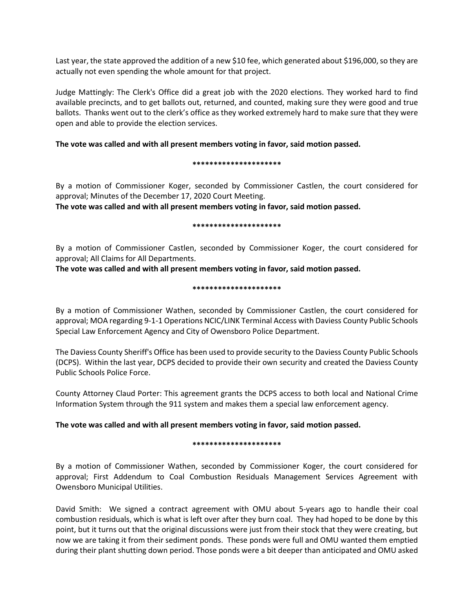Last year, the state approved the addition of a new \$10 fee, which generated about \$196,000, so they are actually not even spending the whole amount for that project.

Judge Mattingly: The Clerk's Office did a great job with the 2020 elections. They worked hard to find available precincts, and to get ballots out, returned, and counted, making sure they were good and true ballots. Thanks went out to the clerk's office as they worked extremely hard to make sure that they were open and able to provide the election services.

### **The vote was called and with all present members voting in favor, said motion passed.**

#### **\*\*\*\*\*\*\*\*\*\*\*\*\*\*\*\*\*\*\*\*\***

By a motion of Commissioner Koger, seconded by Commissioner Castlen, the court considered for approval; Minutes of the December 17, 2020 Court Meeting.

**The vote was called and with all present members voting in favor, said motion passed.** 

#### **\*\*\*\*\*\*\*\*\*\*\*\*\*\*\*\*\*\*\*\*\***

By a motion of Commissioner Castlen, seconded by Commissioner Koger, the court considered for approval; All Claims for All Departments.

**The vote was called and with all present members voting in favor, said motion passed.** 

#### **\*\*\*\*\*\*\*\*\*\*\*\*\*\*\*\*\*\*\*\*\***

By a motion of Commissioner Wathen, seconded by Commissioner Castlen, the court considered for approval; MOA regarding 9-1-1 Operations NCIC/LINK Terminal Access with Daviess County Public Schools Special Law Enforcement Agency and City of Owensboro Police Department.

The Daviess County Sheriff's Office has been used to provide security to the Daviess County Public Schools (DCPS). Within the last year, DCPS decided to provide their own security and created the Daviess County Public Schools Police Force.

County Attorney Claud Porter: This agreement grants the DCPS access to both local and National Crime Information System through the 911 system and makes them a special law enforcement agency.

# **The vote was called and with all present members voting in favor, said motion passed.**

### **\*\*\*\*\*\*\*\*\*\*\*\*\*\*\*\*\*\*\*\*\***

By a motion of Commissioner Wathen, seconded by Commissioner Koger, the court considered for approval; First Addendum to Coal Combustion Residuals Management Services Agreement with Owensboro Municipal Utilities.

David Smith: We signed a contract agreement with OMU about 5-years ago to handle their coal combustion residuals, which is what is left over after they burn coal. They had hoped to be done by this point, but it turns out that the original discussions were just from their stock that they were creating, but now we are taking it from their sediment ponds. These ponds were full and OMU wanted them emptied during their plant shutting down period. Those ponds were a bit deeper than anticipated and OMU asked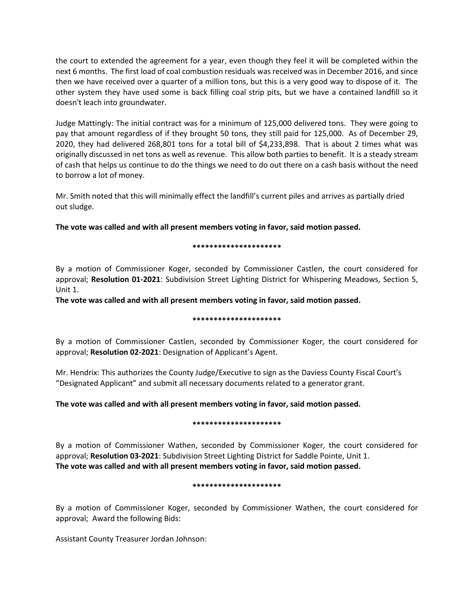the court to extended the agreement for a year, even though they feel it will be completed within the next 6 months. The first load of coal combustion residuals was received was in December 2016, and since then we have received over a quarter of a million tons, but this is a very good way to dispose of it. The other system they have used some is back filling coal strip pits, but we have a contained landfill so it doesn't leach into groundwater.

Judge Mattingly: The initial contract was for a minimum of 125,000 delivered tons. They were going to pay that amount regardless of if they brought 50 tons, they still paid for 125,000. As of December 29, 2020, they had delivered 268,801 tons for a total bill of \$4,233,898. That is about 2 times what was originally discussed in net tons as well as revenue. This allow both parties to benefit. It is a steady stream of cash that helps us continue to do the things we need to do out there on a cash basis without the need to borrow a lot of money.

Mr. Smith noted that this will minimally effect the landfill's current piles and arrives as partially dried out sludge.

**The vote was called and with all present members voting in favor, said motion passed.**

**\*\*\*\*\*\*\*\*\*\*\*\*\*\*\*\*\*\*\*\*\***

By a motion of Commissioner Koger, seconded by Commissioner Castlen, the court considered for approval; **Resolution 01-2021**: Subdivision Street Lighting District for Whispering Meadows, Section 5, Unit 1.

**The vote was called and with all present members voting in favor, said motion passed.**

### **\*\*\*\*\*\*\*\*\*\*\*\*\*\*\*\*\*\*\*\*\***

By a motion of Commissioner Castlen, seconded by Commissioner Koger, the court considered for approval; **Resolution 02-2021**: Designation of Applicant's Agent.

Mr. Hendrix: This authorizes the County Judge/Executive to sign as the Daviess County Fiscal Court's "Designated Applicant" and submit all necessary documents related to a generator grant.

# **The vote was called and with all present members voting in favor, said motion passed.**

### **\*\*\*\*\*\*\*\*\*\*\*\*\*\*\*\*\*\*\*\*\***

By a motion of Commissioner Wathen, seconded by Commissioner Koger, the court considered for approval; **Resolution 03-2021**: Subdivision Street Lighting District for Saddle Pointe, Unit 1. **The vote was called and with all present members voting in favor, said motion passed.**

### **\*\*\*\*\*\*\*\*\*\*\*\*\*\*\*\*\*\*\*\*\***

By a motion of Commissioner Koger, seconded by Commissioner Wathen, the court considered for approval; Award the following Bids:

Assistant County Treasurer Jordan Johnson: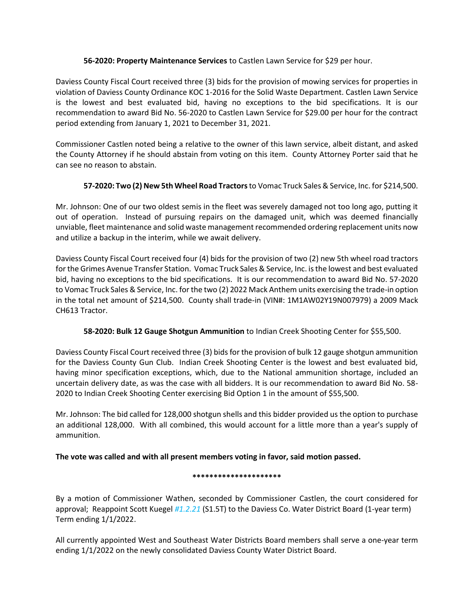# **56-2020: Property Maintenance Services** to Castlen Lawn Service for \$29 per hour.

Daviess County Fiscal Court received three (3) bids for the provision of mowing services for properties in violation of Daviess County Ordinance KOC 1-2016 for the Solid Waste Department. Castlen Lawn Service is the lowest and best evaluated bid, having no exceptions to the bid specifications. It is our recommendation to award Bid No. 56-2020 to Castlen Lawn Service for \$29.00 per hour for the contract period extending from January 1, 2021 to December 31, 2021.

Commissioner Castlen noted being a relative to the owner of this lawn service, albeit distant, and asked the County Attorney if he should abstain from voting on this item. County Attorney Porter said that he can see no reason to abstain.

# **57-2020: Two (2) New 5th Wheel Road Tractors** to Vomac Truck Sales & Service, Inc. for \$214,500.

Mr. Johnson: One of our two oldest semis in the fleet was severely damaged not too long ago, putting it out of operation. Instead of pursuing repairs on the damaged unit, which was deemed financially unviable, fleet maintenance and solid waste management recommended ordering replacement units now and utilize a backup in the interim, while we await delivery.

Daviess County Fiscal Court received four (4) bids for the provision of two (2) new 5th wheel road tractors for the Grimes Avenue Transfer Station. Vomac Truck Sales & Service, Inc. is the lowest and best evaluated bid, having no exceptions to the bid specifications. It is our recommendation to award Bid No. 57-2020 to Vomac Truck Sales & Service, Inc. for the two (2) 2022 Mack Anthem units exercising the trade-in option in the total net amount of \$214,500. County shall trade-in (VIN#: 1M1AW02Y19N007979) a 2009 Mack CH613 Tractor.

# **58-2020: Bulk 12 Gauge Shotgun Ammunition** to Indian Creek Shooting Center for \$55,500.

Daviess County Fiscal Court received three (3) bids for the provision of bulk 12 gauge shotgun ammunition for the Daviess County Gun Club. Indian Creek Shooting Center is the lowest and best evaluated bid, having minor specification exceptions, which, due to the National ammunition shortage, included an uncertain delivery date, as was the case with all bidders. It is our recommendation to award Bid No. 58- 2020 to Indian Creek Shooting Center exercising Bid Option 1 in the amount of \$55,500.

Mr. Johnson: The bid called for 128,000 shotgun shells and this bidder provided us the option to purchase an additional 128,000. With all combined, this would account for a little more than a year's supply of ammunition.

# **The vote was called and with all present members voting in favor, said motion passed.**

# **\*\*\*\*\*\*\*\*\*\*\*\*\*\*\*\*\*\*\*\*\***

By a motion of Commissioner Wathen, seconded by Commissioner Castlen, the court considered for approval; Reappoint Scott Kuegel *#1.2.21* (S1.5T) to the Daviess Co. Water District Board (1-year term) Term ending 1/1/2022.

All currently appointed West and Southeast Water Districts Board members shall serve a one-year term ending 1/1/2022 on the newly consolidated Daviess County Water District Board.